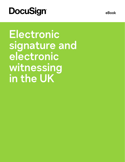# **DocuSign®**

signature and **imperative electronic Witnessing Witnessing**  $\mathsf{int}\ \mathsf{the}\ \mathsf{UK}$ **Electronic** 

**eBook**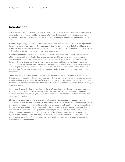# **Introduction**

Use of electronic signature platforms, such as DocuSign eSignature, is now a well-established business practice for many contracts and formal documents. Some documents, however, must comply with additional formalities. One situation that is particularly challenging is where a document needs to be witnessed.

For most English law governed contracts, where a signatory signs the contract there is no requirement for that signature to be witnessed. Nevertheless, parties sometimes like to include this additional step to emphasize the importance of the document and its correct signature. The witness could also provide independent evidence of signature if it were ever questioned.

A common commercial situation that utilises witnessing is deed execution. A deed is a special kind of formal document. Under English law, a deed must be used for certain kinds of legal instruments (such as land transfers, most security documents and powers of attorney), and is commonly used for other documents such as shareholders' agreements, share and business purchase agreements, loan documents, transfers of assets, guarantees and even ordinary contracts. English law requires the witnessing of certain signatures when a deed is to be executed. The law is flexible when it comes to the selection of a witness—family members, colleagues and advisers can act as witnesses for most documents.

There are particular formalities which apply to the execution of deeds, including a legal requirement that the witness must be in the physical presence of the signatory when the signatory signs the deed. If the parties choose to include a witness for a signatory but there is no legal requirement to do so, these formalities will not apply and remote witnessing of the application of the signature (including by video) is a possible option.

Under English law, a deed can be validly signed and witnessed using an electronic signature platform, such as DocuSign eSignature, in situations where the law allows electronic signing and execution. Different considerations are likely to apply in other jurisdictions and for agreements governed by laws other than English law.

Electronic signature platforms offer a range of advantages including ease and speed of remote contracting through a structured workflow and creating an evidential audit trail of the signing process who signed the document, when and the contents of the document. These benefits are also available for deed execution, including when some or all of the signatures to a deed require witnessing. The requirement of a witness's physical presence does not prevent the use of an electronic signature platform. Modern signature technology, such as DocuSign eSignature, can be used to record the signature of a witness. As with wet-ink signatures, in most cases the signatory should be able (even when working remotely) to find a convenient witness and the parties can take steps to manage the confidentiality of the document.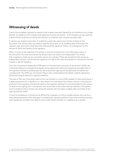# **Witnessing of deeds**

One of the formalities required for deeds is that a deed executed (signed) by an individual or by a single director on behalf of a UK company, that signature must be witnessed. A UK company can also execute a deed without a witness by having two directors or a director and company secretary sign.

A witness can evidence execution of a deed by a particular person, but not the contents of the document. The witness does not need to read the document nor do anything other than watch the signatory sign and confirm that they have witnessed the signature. There is no requirement for the witness to verify the identity of the signatory.

When it comes to the selection of a witness, it must be someone who is not otherwise a party to the document. For most documents, the witness does not need to be independent. This means that a signatory could use any convenient person as a witness. There are exceptions that require an independent witness, such as that the signature of a will. A will is also an example of a document that still requires a wet-ink signature.

The Law Commission's September 2019 report on the electronic execution of documents' (2019 Law Commission Report) concluded that deeds can be signed with electronic signatures, provided that (i) the signatory intends to authenticate the document when signing and (ii) applicable formalities are complied with. The 2019 Law Commission Report also contemplated that deeds could be signed and witnessed using an electronic signature platform.

The view of the Law Commission (and of the Law Society in a June 2020 update<sup>2</sup>) is that where there is a legal requirement for a signature on a document to be witnessed, the witness must be in the physical presence of the signatory and directly observe the signatory signing. It is not permissible for the witness to observe the signing over a remote link, such as by video or by screen sharing. However, if the parties want to evidence that a witness was physically present with the signer, a digital video recording of the signing could be made.

In most circumstances, it should not be difficult for a signatory to find a suitable witness who can be in their physical presence when they sign on an electronic signature platform. Even when working remotely, most signatories are likely to be able to use an adult family member or a neighbour as a witness.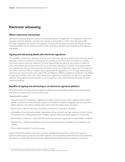## **Electronic witnessing**

## **What is electronic witnessing?**

Electronic witnessing requires a witness to physically witness the application of a signatory's electronic signature and then add their own electronic signature and details to confirm that witnessing. With DocuSign eSignature, this involves the signatory receiving the document by email, specifying the name and email address of the witness and the witness receiving a separate email requesting their signature and details.

## **Signing and witnessing deeds with electronic signatures**

The suitability of electronic signatures and the use of electronic signature platforms for executing deeds depends on the circumstances of each deed. For example, (i) are there other formalities to consider, such as for certain consumer contracts? (ii) when legal entities are party to the contract or deed, do their constitutional documents restrict the use of electronic signatures?, (iii) when those legal entities are overseas (non-UK), are there local law restrictions on the use of electronic signatures?, (iv) does the document need to be filed at a registry that requires wet-ink signatures or is it of a type where wet-ink signatures are required (such as for wills)? HM Land Registry (HMLR) updated its guidance in July 2020<sup>3</sup> to allow land transfers and certain other deeds to be signed and witnessed on an electronic signature platform. The guidance requires parties to use conveyancers who certify that the document has been signed accordingly.

## **Benefits of signing and witnessing on an electronic signature platform**

All of the benefits of using electronic signature platforms are potentially available when signing deeds and other documents that need to be witnessed.

These benefits include:

- Ease and speed of contracting digitising the entire contract process with a digital workflow allows greater consistency in how document signature is handled, the ability to digitally route the document, define signatory and witness signing order and to track the status of the document;
- Removing the need for hard copy documents, printing and scanning at any stage
- Auditability of the transaction details (signatories, timing, content) and clear evidence of which version of the document is being signed (which English case law relating to deeds suggests is important)
- Admissibility in evidence under both EU and UK law, electronic signatures are admissible in evidence
- Reduced risk additional verification steps can be used to confirm the identity of the signatory and witness
- Environmental benefits of using less paper

Recent COVID-19 lockdown restrictions have also highlighted the benefits of electronic signature platforms when signing contracts and other legal documents remotely, where there are social distancing restrictions or travel restrictions and where signatories have limited access to printers or scanners.

**<sup>3</sup>** HM Land Registry, Practice guide 8: execution of deeds (updated 27 July 2020): https://www.gov.uk/government/publications/execution-of-deeds/practice-guide-8-execution-of-deeds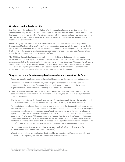## **Good practice for deed execution**

Law Society good practice guidance<sup>4</sup>, Option 1, for the execution of deeds at a virtual completion meeting (when they are not physically present together), involves emailing a PDF or Word version of the final document to the parties who return the document with their signed and scanned signature pages. The Law Society describes this approach as being for parties who "wish to take a prudent approach in relation to the execution of deeds."

Electronic signing platforms can offer a viable alternative. The 2019 Law Commission Report noted that the benefits of using The Law Society's virtual completion guidance will also apply where a deed is properly signed (and, where applicable, witnessed) on an electronic signature platform. This means that the benefits of the "prudent" good practice approach recommended by the Law Society are available where the parties use an electronic signature platform.

The 2019 Law Commission Report separately recommended that an industry working group be established to consider the practical and technical issues associated with the electronic execution of documents, including the question of video witnessing of electronic signatures. Where remote witnessing of signatures is possible and desired, including where the parties choose to have signatures witnessed when there is no legal requirement to do so, electronic signature platforms can be used for remote witnessing, further enhancing the benefits of electronically signing documents.

### **Ten practical steps for witnessing deeds on an electronic signature platform**

- Deeds are complex legal documents and you should take legal advice to ensure correct execution.
- When more than one law firm or attorney is advising on a transaction, they should agree on an approach to the execution of the deed. This approach should include not only the signing requirements, but also how delivery and dating of the deed will be affected.
- Clear instructions should be given to the signatory and witness to ensure correct execution of the deed, including the requirement for the witness to be in the physical presence of the signatory and observe the signing.
- The signatory and witness should apply their own electronic signatures (witness after signatory) and not have someone else do this for them, or this may invalidate the signature and the document.
- As stated above, the witness does not need to read or understand the document that is being signed. At a physical completion meeting, the confidentiality of the document can be preserved by limiting the access that the witness has to the document. When the document is being signed on an electronic signature platform, the witness may have greater access to the document (and to other confidential documents in the "envelope"). Practical steps to protect confidentiality in this situation could include (i) sending the document to be witnessed in a separate envelope, (ii) limiting the access the witness has to the document until it is ready to be witnessed, (iii) the signatory supervising the witness signing and (iv) locking access to the document once it is fully signed by the signatory and witness.
- For high value transactions, consider additional signatory authentication (such as two-factor authentication through a code sent to a mobile device).
- When there are multiple signatories to a deed, consider any signature platform signatory limits and note that both a signatory and a witness can count towards these limits.

**<sup>4</sup>** The Law Society, Execution of documents by virtual means (February 2010, reviewed May 2020) https://www.lawsociety.org.uk/topics/business-management/execution-of-documents-by-virtual-means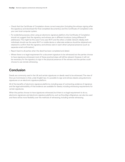- Check that the Certificate of Completion shows correct execution (including the witness signing after the signatory) and download the final completed document(s) and the Certificate of Completion onto your own local computer system.
- For evidential purposes, when using an electronic signature platform, the Certificate of Completion should not suggest that the signatory and witness are in different locations (using different IP addresses). This might be the case if one uses Wi-Fi and the other a mobile network. Ideally, both individuals should use the same Wi-Fi or mobile device or alternate evidence should be obtained and retained to confirm that the signatory and witness were in each other's physical presence (such as separate email confirmation).
- Report back to all parties when the deed has been completed and dated.
- Where there is no legal requirement for a document signature to be witnessed, but the parties choose to have signatures witnessed, most of these practical steps will still be relevant. However, it will not be necessary for the signatory to sign in the physical presence of the witness and the parties could choose to use remote witnessing.

# **Conclusion**

Deeds are commonly used in the UK and certain signatures on deeds need to be witnessed. The view of the Law Commission is that, under English law, it is possible to sign and witness deeds using electronic signatures on an electronic signature platform.

All of the benefits of electronic signature platforms, including ease of contracting, evidence of signature and the legal admissibility of that evidence are available for deeds, including witnessing requirements for certain signatures.

When the parties choose to have signatures witnessed, but there is no legal requirement to do so, electronic signatures and electronic signature platforms, such as DocuSign eSignature, can also be used and there will be more flexibility over the methods of witnessing, including remote witnessing.